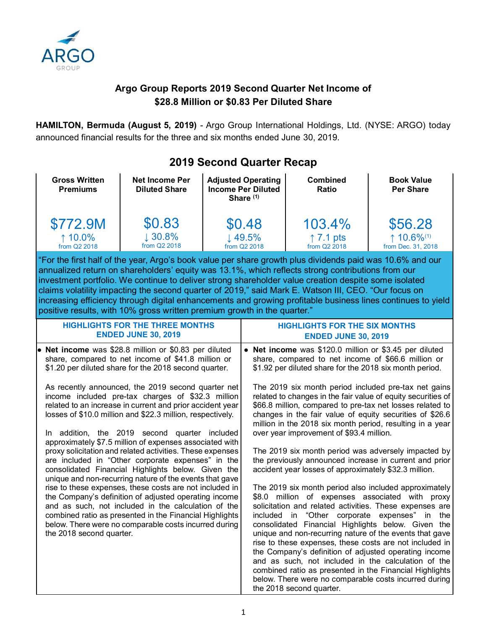

# **Argo Group Reports 2019 Second Quarter Net Income of \$28.8 Million or \$0.83 Per Diluted Share**

**HAMILTON, Bermuda (August 5, 2019)** - Argo Group International Holdings, Ltd. (NYSE: ARGO) today announced financial results for the three and six months ended June 30, 2019.

| <b>2019 Second Quarter Recap</b>                                                                                                                                                                                                                                                                                                                                                                                                                                                                                                                                                                                          |                                                                                                                                                                                                                                                                                                                                                                                                                                                                                                                                                                                                                                                                                                                                                                                                                                                                                                                                                                                                                                                        |  |                                                                                |                                                                                                                                                                                                                                                                                                        |                                                                                                                                                                                                                                                                                                                                                                                                                                                                                                                                                                                                                                                                                                                                                                                                                                                                                                                                                                                                                                                                     |  |  |  |  |  |  |  |
|---------------------------------------------------------------------------------------------------------------------------------------------------------------------------------------------------------------------------------------------------------------------------------------------------------------------------------------------------------------------------------------------------------------------------------------------------------------------------------------------------------------------------------------------------------------------------------------------------------------------------|--------------------------------------------------------------------------------------------------------------------------------------------------------------------------------------------------------------------------------------------------------------------------------------------------------------------------------------------------------------------------------------------------------------------------------------------------------------------------------------------------------------------------------------------------------------------------------------------------------------------------------------------------------------------------------------------------------------------------------------------------------------------------------------------------------------------------------------------------------------------------------------------------------------------------------------------------------------------------------------------------------------------------------------------------------|--|--------------------------------------------------------------------------------|--------------------------------------------------------------------------------------------------------------------------------------------------------------------------------------------------------------------------------------------------------------------------------------------------------|---------------------------------------------------------------------------------------------------------------------------------------------------------------------------------------------------------------------------------------------------------------------------------------------------------------------------------------------------------------------------------------------------------------------------------------------------------------------------------------------------------------------------------------------------------------------------------------------------------------------------------------------------------------------------------------------------------------------------------------------------------------------------------------------------------------------------------------------------------------------------------------------------------------------------------------------------------------------------------------------------------------------------------------------------------------------|--|--|--|--|--|--|--|
| <b>Gross Written</b><br><b>Premiums</b>                                                                                                                                                                                                                                                                                                                                                                                                                                                                                                                                                                                   | <b>Net Income Per</b><br><b>Diluted Share</b>                                                                                                                                                                                                                                                                                                                                                                                                                                                                                                                                                                                                                                                                                                                                                                                                                                                                                                                                                                                                          |  | <b>Adjusted Operating</b><br><b>Income Per Diluted</b><br>Share <sup>(1)</sup> | <b>Combined</b><br><b>Ratio</b>                                                                                                                                                                                                                                                                        | <b>Book Value</b><br><b>Per Share</b>                                                                                                                                                                                                                                                                                                                                                                                                                                                                                                                                                                                                                                                                                                                                                                                                                                                                                                                                                                                                                               |  |  |  |  |  |  |  |
| \$772.9M<br>$\uparrow$ 10.0%<br>from Q2 2018                                                                                                                                                                                                                                                                                                                                                                                                                                                                                                                                                                              | \$0.83<br>$\downarrow$ 30.8%<br>from Q2 2018                                                                                                                                                                                                                                                                                                                                                                                                                                                                                                                                                                                                                                                                                                                                                                                                                                                                                                                                                                                                           |  | \$0.48<br>$\downarrow$ 49.5%<br>from Q2 2018                                   | 103.4%<br>$\uparrow$ 7.1 pts<br>from Q2 2018                                                                                                                                                                                                                                                           | \$56.28<br>$\uparrow$ 10.6%(1)<br>from Dec. 31, 2018                                                                                                                                                                                                                                                                                                                                                                                                                                                                                                                                                                                                                                                                                                                                                                                                                                                                                                                                                                                                                |  |  |  |  |  |  |  |
| "For the first half of the year, Argo's book value per share growth plus dividends paid was 10.6% and our<br>annualized return on shareholders' equity was 13.1%, which reflects strong contributions from our<br>investment portfolio. We continue to deliver strong shareholder value creation despite some isolated<br>claims volatility impacting the second quarter of 2019," said Mark E. Watson III, CEO. "Our focus on<br>increasing efficiency through digital enhancements and growing profitable business lines continues to yield<br>positive results, with 10% gross written premium growth in the quarter." |                                                                                                                                                                                                                                                                                                                                                                                                                                                                                                                                                                                                                                                                                                                                                                                                                                                                                                                                                                                                                                                        |  |                                                                                |                                                                                                                                                                                                                                                                                                        |                                                                                                                                                                                                                                                                                                                                                                                                                                                                                                                                                                                                                                                                                                                                                                                                                                                                                                                                                                                                                                                                     |  |  |  |  |  |  |  |
|                                                                                                                                                                                                                                                                                                                                                                                                                                                                                                                                                                                                                           | <b>HIGHLIGHTS FOR THE THREE MONTHS</b><br><b>ENDED JUNE 30, 2019</b>                                                                                                                                                                                                                                                                                                                                                                                                                                                                                                                                                                                                                                                                                                                                                                                                                                                                                                                                                                                   |  |                                                                                | <b>HIGHLIGHTS FOR THE SIX MONTHS</b><br><b>ENDED JUNE 30, 2019</b>                                                                                                                                                                                                                                     |                                                                                                                                                                                                                                                                                                                                                                                                                                                                                                                                                                                                                                                                                                                                                                                                                                                                                                                                                                                                                                                                     |  |  |  |  |  |  |  |
| the 2018 second quarter.                                                                                                                                                                                                                                                                                                                                                                                                                                                                                                                                                                                                  | Net income was \$28.8 million or \$0.83 per diluted<br>share, compared to net income of \$41.8 million or<br>\$1.20 per diluted share for the 2018 second quarter.<br>As recently announced, the 2019 second quarter net<br>income included pre-tax charges of \$32.3 million<br>related to an increase in current and prior accident year<br>losses of \$10.0 million and \$22.3 million, respectively.<br>In addition, the 2019 second quarter included<br>approximately \$7.5 million of expenses associated with<br>proxy solicitation and related activities. These expenses<br>are included in "Other corporate expenses" in the<br>consolidated Financial Highlights below. Given the<br>unique and non-recurring nature of the events that gave<br>rise to these expenses, these costs are not included in<br>the Company's definition of adjusted operating income<br>and as such, not included in the calculation of the<br>combined ratio as presented in the Financial Highlights<br>below. There were no comparable costs incurred during |  |                                                                                | Net income was \$120.0 million or \$3.45 per diluted<br>share, compared to net income of \$66.6 million or<br>\$1.92 per diluted share for the 2018 six month period.<br>over year improvement of \$93.4 million.<br>accident year losses of approximately \$32.3 million.<br>the 2018 second quarter. | The 2019 six month period included pre-tax net gains<br>related to changes in the fair value of equity securities of<br>\$66.8 million, compared to pre-tax net losses related to<br>changes in the fair value of equity securities of \$26.6<br>million in the 2018 six month period, resulting in a year<br>The 2019 six month period was adversely impacted by<br>the previously announced increase in current and prior<br>The 2019 six month period also included approximately<br>\$8.0 million of expenses associated with proxy<br>solicitation and related activities. These expenses are<br>included in "Other corporate expenses" in the<br>consolidated Financial Highlights below. Given the<br>unique and non-recurring nature of the events that gave<br>rise to these expenses, these costs are not included in<br>the Company's definition of adjusted operating income<br>and as such, not included in the calculation of the<br>combined ratio as presented in the Financial Highlights<br>below. There were no comparable costs incurred during |  |  |  |  |  |  |  |

# **2019 Second Quarter Recap**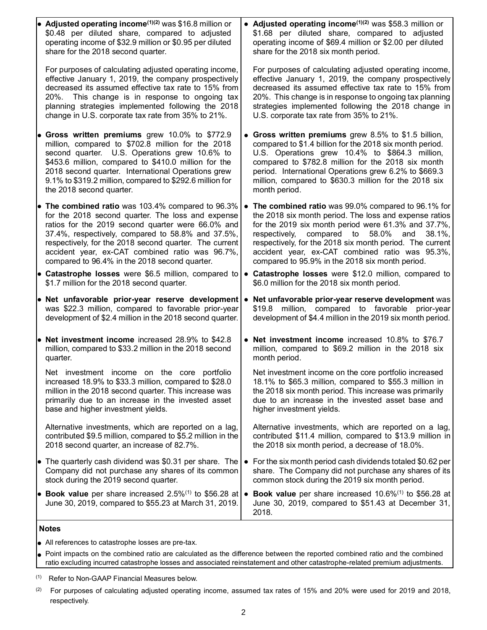| • Adjusted operating income <sup>(1)(2)</sup> was \$16.8 million or<br>\$0.48 per diluted share, compared to adjusted<br>operating income of \$32.9 million or \$0.95 per diluted<br>share for the 2018 second quarter.                                                                                                                                                           |           | • Adjusted operating income <sup>(1)(2)</sup> was \$58.3 million or<br>\$1.68 per diluted share, compared to adjusted<br>operating income of \$69.4 million or \$2.00 per diluted<br>share for the 2018 six month period.                                                                                                                                                                   |
|-----------------------------------------------------------------------------------------------------------------------------------------------------------------------------------------------------------------------------------------------------------------------------------------------------------------------------------------------------------------------------------|-----------|---------------------------------------------------------------------------------------------------------------------------------------------------------------------------------------------------------------------------------------------------------------------------------------------------------------------------------------------------------------------------------------------|
| For purposes of calculating adjusted operating income,<br>effective January 1, 2019, the company prospectively<br>decreased its assumed effective tax rate to 15% from<br>20%. This change is in response to ongoing tax<br>planning strategies implemented following the 2018<br>change in U.S. corporate tax rate from 35% to 21%.                                              |           | For purposes of calculating adjusted operating income,<br>effective January 1, 2019, the company prospectively<br>decreased its assumed effective tax rate to 15% from<br>20%. This change is in response to ongoing tax planning<br>strategies implemented following the 2018 change in<br>U.S. corporate tax rate from 35% to 21%.                                                        |
| <b>• Gross written premiums</b> grew 10.0% to \$772.9<br>million, compared to \$702.8 million for the 2018<br>second quarter. U.S. Operations grew 10.6% to<br>\$453.6 million, compared to \$410.0 million for the<br>2018 second quarter. International Operations grew<br>9.1% to \$319.2 million, compared to \$292.6 million for<br>the 2018 second quarter.                 |           | Gross written premiums grew 8.5% to \$1.5 billion,<br>compared to \$1.4 billion for the 2018 six month period.<br>U.S. Operations grew 10.4% to \$864.3 million,<br>compared to \$782.8 million for the 2018 six month<br>period. International Operations grew 6.2% to \$669.3<br>million, compared to \$630.3 million for the 2018 six<br>month period.                                   |
| • The combined ratio was 103.4% compared to $96.3\%$<br>for the 2018 second quarter. The loss and expense<br>ratios for the 2019 second quarter were 66.0% and<br>37.4%, respectively, compared to 58.8% and 37.5%,<br>respectively, for the 2018 second quarter. The current<br>accident year, ex-CAT combined ratio was 96.7%,<br>compared to 96.4% in the 2018 second quarter. |           | The combined ratio was 99.0% compared to 96.1% for<br>the 2018 six month period. The loss and expense ratios<br>for the 2019 six month period were 61.3% and 37.7%,<br>respectively, compared to 58.0%<br>and<br>$38.1\%$<br>respectively, for the 2018 six month period. The current<br>accident year, ex-CAT combined ratio was 95.3%,<br>compared to 95.9% in the 2018 six month period. |
| • Catastrophe losses were \$6.5 million, compared to<br>\$1.7 million for the 2018 second quarter.                                                                                                                                                                                                                                                                                |           | Catastrophe losses were \$12.0 million, compared to<br>\$6.0 million for the 2018 six month period.                                                                                                                                                                                                                                                                                         |
| • Net unfavorable prior-year reserve development<br>was \$22.3 million, compared to favorable prior-year<br>development of \$2.4 million in the 2018 second quarter.                                                                                                                                                                                                              |           | Net unfavorable prior-year reserve development was<br>million, compared to favorable prior-year<br>\$19.8<br>development of \$4.4 million in the 2019 six month period.                                                                                                                                                                                                                     |
| $\bullet$ Net investment income increased 28.9% to \$42.8<br>million, compared to \$33.2 million in the 2018 second<br>quarter.                                                                                                                                                                                                                                                   |           | Net investment income increased 10.8% to \$76.7<br>million, compared to \$69.2 million in the 2018 six<br>month period.                                                                                                                                                                                                                                                                     |
| Net investment income on the core portfolio<br>increased 18.9% to \$33.3 million, compared to \$28.0<br>million in the 2018 second quarter. This increase was<br>primarily due to an increase in the invested asset<br>base and higher investment yields.                                                                                                                         |           | Net investment income on the core portfolio increased<br>18.1% to \$65.3 million, compared to \$55.3 million in<br>the 2018 six month period. This increase was primarily<br>due to an increase in the invested asset base and<br>higher investment yields.                                                                                                                                 |
| Alternative investments, which are reported on a lag,<br>contributed \$9.5 million, compared to \$5.2 million in the<br>2018 second quarter, an increase of 82.7%.                                                                                                                                                                                                                |           | Alternative investments, which are reported on a lag,<br>contributed \$11.4 million, compared to \$13.9 million in<br>the 2018 six month period, a decrease of 18.0%.                                                                                                                                                                                                                       |
| • The quarterly cash dividend was \$0.31 per share. The<br>Company did not purchase any shares of its common<br>stock during the 2019 second quarter.                                                                                                                                                                                                                             |           | • For the six month period cash dividends totaled \$0.62 per<br>share. The Company did not purchase any shares of its<br>common stock during the 2019 six month period.                                                                                                                                                                                                                     |
| • Book value per share increased 2.5% <sup>(1)</sup> to \$56.28 at<br>June 30, 2019, compared to \$55.23 at March 31, 2019.                                                                                                                                                                                                                                                       | $\bullet$ | <b>Book value</b> per share increased $10.6\%$ <sup>(1)</sup> to \$56.28 at<br>June 30, 2019, compared to \$51.43 at December 31,<br>2018.                                                                                                                                                                                                                                                  |
| <b>Notes</b>                                                                                                                                                                                                                                                                                                                                                                      |           |                                                                                                                                                                                                                                                                                                                                                                                             |

● All references to catastrophe losses are pre-tax.

● Point impacts on the combined ratio are calculated as the difference between the reported combined ratio and the combined ratio excluding incurred catastrophe losses and associated reinstatement and other catastrophe-related premium adjustments.

- (1) Refer to Non-GAAP Financial Measures below.
- (2) For purposes of calculating adjusted operating income, assumed tax rates of 15% and 20% were used for 2019 and 2018, respectively.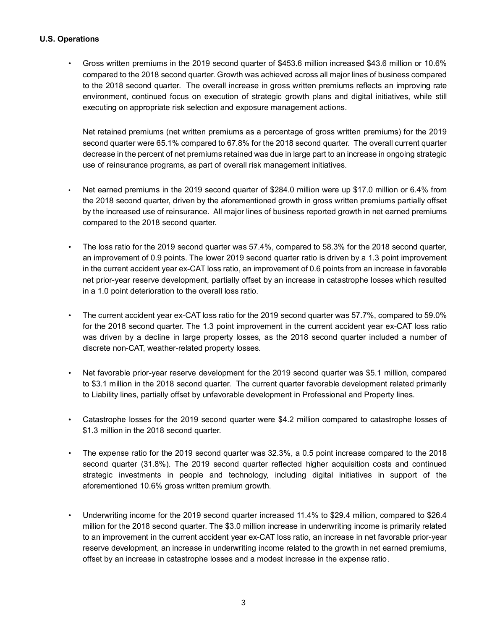### **U.S. Operations**

• Gross written premiums in the 2019 second quarter of \$453.6 million increased \$43.6 million or 10.6% compared to the 2018 second quarter. Growth was achieved across all major lines of business compared to the 2018 second quarter. The overall increase in gross written premiums reflects an improving rate environment, continued focus on execution of strategic growth plans and digital initiatives, while still executing on appropriate risk selection and exposure management actions.

Net retained premiums (net written premiums as a percentage of gross written premiums) for the 2019 second quarter were 65.1% compared to 67.8% for the 2018 second quarter. The overall current quarter decrease in the percent of net premiums retained was due in large part to an increase in ongoing strategic use of reinsurance programs, as part of overall risk management initiatives.

- Net earned premiums in the 2019 second quarter of \$284.0 million were up \$17.0 million or 6.4% from the 2018 second quarter, driven by the aforementioned growth in gross written premiums partially offset by the increased use of reinsurance. All major lines of business reported growth in net earned premiums compared to the 2018 second quarter.
- The loss ratio for the 2019 second quarter was 57.4%, compared to 58.3% for the 2018 second quarter, an improvement of 0.9 points. The lower 2019 second quarter ratio is driven by a 1.3 point improvement in the current accident year ex-CAT loss ratio, an improvement of 0.6 points from an increase in favorable net prior-year reserve development, partially offset by an increase in catastrophe losses which resulted in a 1.0 point deterioration to the overall loss ratio.
- The current accident year ex-CAT loss ratio for the 2019 second quarter was 57.7%, compared to 59.0% for the 2018 second quarter. The 1.3 point improvement in the current accident year ex-CAT loss ratio was driven by a decline in large property losses, as the 2018 second quarter included a number of discrete non-CAT, weather-related property losses.
- Net favorable prior-year reserve development for the 2019 second quarter was \$5.1 million, compared to \$3.1 million in the 2018 second quarter. The current quarter favorable development related primarily to Liability lines, partially offset by unfavorable development in Professional and Property lines.
- Catastrophe losses for the 2019 second quarter were \$4.2 million compared to catastrophe losses of \$1.3 million in the 2018 second quarter.
- The expense ratio for the 2019 second quarter was 32.3%, a 0.5 point increase compared to the 2018 second quarter (31.8%). The 2019 second quarter reflected higher acquisition costs and continued strategic investments in people and technology, including digital initiatives in support of the aforementioned 10.6% gross written premium growth.
- Underwriting income for the 2019 second quarter increased 11.4% to \$29.4 million, compared to \$26.4 million for the 2018 second quarter. The \$3.0 million increase in underwriting income is primarily related to an improvement in the current accident year ex-CAT loss ratio, an increase in net favorable prior-year reserve development, an increase in underwriting income related to the growth in net earned premiums, offset by an increase in catastrophe losses and a modest increase in the expense ratio.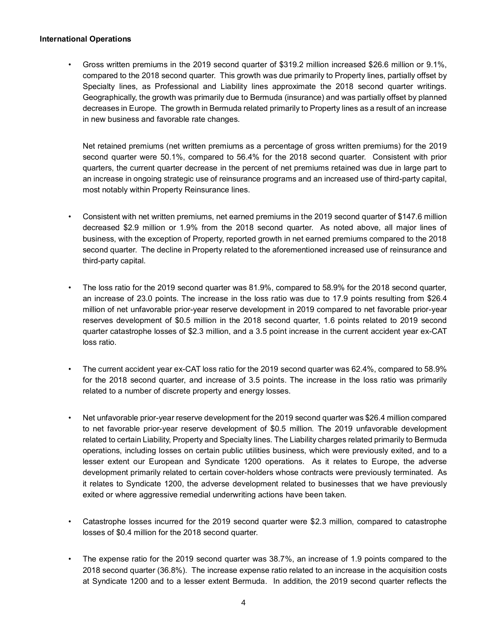### **International Operations**

• Gross written premiums in the 2019 second quarter of \$319.2 million increased \$26.6 million or 9.1%, compared to the 2018 second quarter. This growth was due primarily to Property lines, partially offset by Specialty lines, as Professional and Liability lines approximate the 2018 second quarter writings. Geographically, the growth was primarily due to Bermuda (insurance) and was partially offset by planned decreases in Europe. The growth in Bermuda related primarily to Property lines as a result of an increase in new business and favorable rate changes.

Net retained premiums (net written premiums as a percentage of gross written premiums) for the 2019 second quarter were 50.1%, compared to 56.4% for the 2018 second quarter. Consistent with prior quarters, the current quarter decrease in the percent of net premiums retained was due in large part to an increase in ongoing strategic use of reinsurance programs and an increased use of third-party capital, most notably within Property Reinsurance lines.

- Consistent with net written premiums, net earned premiums in the 2019 second quarter of \$147.6 million decreased \$2.9 million or 1.9% from the 2018 second quarter. As noted above, all major lines of business, with the exception of Property, reported growth in net earned premiums compared to the 2018 second quarter. The decline in Property related to the aforementioned increased use of reinsurance and third-party capital.
- The loss ratio for the 2019 second quarter was 81.9%, compared to 58.9% for the 2018 second quarter, an increase of 23.0 points. The increase in the loss ratio was due to 17.9 points resulting from \$26.4 million of net unfavorable prior-year reserve development in 2019 compared to net favorable prior-year reserves development of \$0.5 million in the 2018 second quarter, 1.6 points related to 2019 second quarter catastrophe losses of \$2.3 million, and a 3.5 point increase in the current accident year ex-CAT loss ratio.
- The current accident year ex-CAT loss ratio for the 2019 second quarter was 62.4%, compared to 58.9% for the 2018 second quarter, and increase of 3.5 points. The increase in the loss ratio was primarily related to a number of discrete property and energy losses.
- Net unfavorable prior-year reserve development for the 2019 second quarter was \$26.4 million compared to net favorable prior-year reserve development of \$0.5 million. The 2019 unfavorable development related to certain Liability, Property and Specialty lines. The Liability charges related primarily to Bermuda operations, including losses on certain public utilities business, which were previously exited, and to a lesser extent our European and Syndicate 1200 operations. As it relates to Europe, the adverse development primarily related to certain cover-holders whose contracts were previously terminated. As it relates to Syndicate 1200, the adverse development related to businesses that we have previously exited or where aggressive remedial underwriting actions have been taken.
- Catastrophe losses incurred for the 2019 second quarter were \$2.3 million, compared to catastrophe losses of \$0.4 million for the 2018 second quarter.
- The expense ratio for the 2019 second quarter was 38.7%, an increase of 1.9 points compared to the 2018 second quarter (36.8%). The increase expense ratio related to an increase in the acquisition costs at Syndicate 1200 and to a lesser extent Bermuda. In addition, the 2019 second quarter reflects the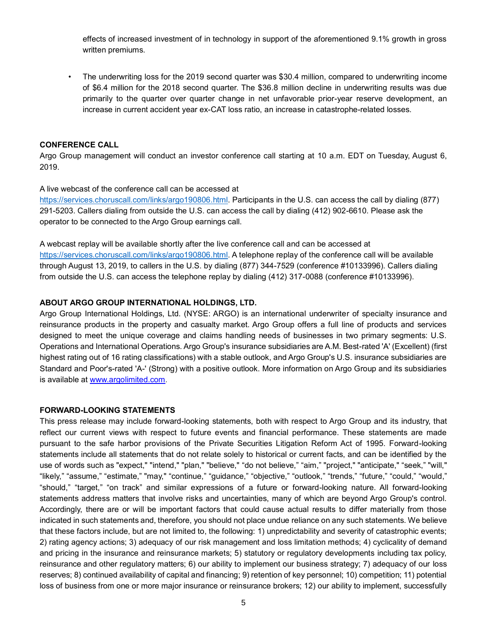effects of increased investment of in technology in support of the aforementioned 9.1% growth in gross written premiums.

• The underwriting loss for the 2019 second quarter was \$30.4 million, compared to underwriting income of \$6.4 million for the 2018 second quarter. The \$36.8 million decline in underwriting results was due primarily to the quarter over quarter change in net unfavorable prior-year reserve development, an increase in current accident year ex-CAT loss ratio, an increase in catastrophe-related losses.

#### **CONFERENCE CALL**

Argo Group management will conduct an investor conference call starting at 10 a.m. EDT on Tuesday, August 6, 2019.

### A live webcast of the conference call can be accessed at

[https://services.choruscall.com/links/argo190806.html.](https://urldefense.proofpoint.com/v2/url?u=https-3A__services.choruscall.com_links_argo190806.html&d=DwMFAg&c=3GA0lv3V1KChs2K5ng-mYIFCwMtEkH7d8yaSRhv5xEc&r=GBqetfBa5GlP8w7tz44X9K9tYh4eQ19kqG2DoafB8JQ&m=8ZON0OwABdccrCwrq-hL99nCciurXpFjIcpcYIVNHps&s=jOmf1UGG_1c9lfkW0wDnb_rbLco6j6yBb0PJl1unC4o&e=) Participants in the U.S. can access the call by dialing (877) 291-5203. Callers dialing from outside the U.S. can access the call by dialing (412) 902-6610. Please ask the operator to be connected to the Argo Group earnings call.

A webcast replay will be available shortly after the live conference call and can be accessed at [https://services.choruscall.com/links/argo190806.html.](https://services.choruscall.com/links/argo190806.html) A telephone replay of the conference call will be available through August 13, 2019, to callers in the U.S. by dialing (877) 344-7529 (conference #10133996). Callers dialing from outside the U.S. can access the telephone replay by dialing (412) 317-0088 (conference #10133996).

### **ABOUT ARGO GROUP INTERNATIONAL HOLDINGS, LTD.**

Argo Group International Holdings, Ltd. (NYSE: ARGO) is an international underwriter of specialty insurance and reinsurance products in the property and casualty market. Argo Group offers a full line of products and services designed to meet the unique coverage and claims handling needs of businesses in two primary segments: U.S. Operations and International Operations. Argo Group's insurance subsidiaries are A.M. Best-rated 'A' (Excellent) (first highest rating out of 16 rating classifications) with a stable outlook, and Argo Group's U.S. insurance subsidiaries are Standard and Poor's-rated 'A-' (Strong) with a positive outlook. More information on Argo Group and its subsidiaries is available at www.argolimited.com.

#### **FORWARD-LOOKING STATEMENTS**

This press release may include forward-looking statements, both with respect to Argo Group and its industry, that reflect our current views with respect to future events and financial performance. These statements are made pursuant to the safe harbor provisions of the Private Securities Litigation Reform Act of 1995. Forward-looking statements include all statements that do not relate solely to historical or current facts, and can be identified by the use of words such as "expect," "intend," "plan," "believe," "do not believe," "aim," "project," "anticipate," "seek," "will," "likely," "assume," "estimate," "may," "continue," "guidance," "objective," "outlook," "trends," "future," "could," "would," "should," "target," "on track" and similar expressions of a future or forward-looking nature. All forward-looking statements address matters that involve risks and uncertainties, many of which are beyond Argo Group's control. Accordingly, there are or will be important factors that could cause actual results to differ materially from those indicated in such statements and, therefore, you should not place undue reliance on any such statements. We believe that these factors include, but are not limited to, the following: 1) unpredictability and severity of catastrophic events; 2) rating agency actions; 3) adequacy of our risk management and loss limitation methods; 4) cyclicality of demand and pricing in the insurance and reinsurance markets; 5) statutory or regulatory developments including tax policy, reinsurance and other regulatory matters; 6) our ability to implement our business strategy; 7) adequacy of our loss reserves; 8) continued availability of capital and financing; 9) retention of key personnel; 10) competition; 11) potential loss of business from one or more major insurance or reinsurance brokers; 12) our ability to implement, successfully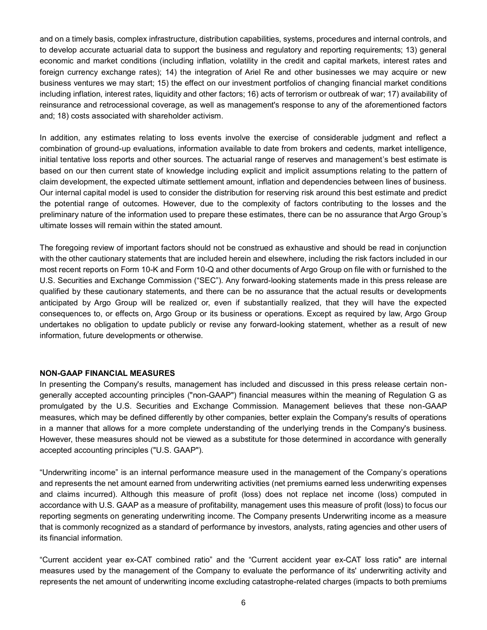and on a timely basis, complex infrastructure, distribution capabilities, systems, procedures and internal controls, and to develop accurate actuarial data to support the business and regulatory and reporting requirements; 13) general economic and market conditions (including inflation, volatility in the credit and capital markets, interest rates and foreign currency exchange rates); 14) the integration of Ariel Re and other businesses we may acquire or new business ventures we may start; 15) the effect on our investment portfolios of changing financial market conditions including inflation, interest rates, liquidity and other factors; 16) acts of terrorism or outbreak of war; 17) availability of reinsurance and retrocessional coverage, as well as management's response to any of the aforementioned factors and; 18) costs associated with shareholder activism.

In addition, any estimates relating to loss events involve the exercise of considerable judgment and reflect a combination of ground-up evaluations, information available to date from brokers and cedents, market intelligence, initial tentative loss reports and other sources. The actuarial range of reserves and management's best estimate is based on our then current state of knowledge including explicit and implicit assumptions relating to the pattern of claim development, the expected ultimate settlement amount, inflation and dependencies between lines of business. Our internal capital model is used to consider the distribution for reserving risk around this best estimate and predict the potential range of outcomes. However, due to the complexity of factors contributing to the losses and the preliminary nature of the information used to prepare these estimates, there can be no assurance that Argo Group's ultimate losses will remain within the stated amount.

The foregoing review of important factors should not be construed as exhaustive and should be read in conjunction with the other cautionary statements that are included herein and elsewhere, including the risk factors included in our most recent reports on Form 10-K and Form 10-Q and other documents of Argo Group on file with or furnished to the U.S. Securities and Exchange Commission ("SEC"). Any forward-looking statements made in this press release are qualified by these cautionary statements, and there can be no assurance that the actual results or developments anticipated by Argo Group will be realized or, even if substantially realized, that they will have the expected consequences to, or effects on, Argo Group or its business or operations. Except as required by law, Argo Group undertakes no obligation to update publicly or revise any forward-looking statement, whether as a result of new information, future developments or otherwise.

#### **NON-GAAP FINANCIAL MEASURES**

In presenting the Company's results, management has included and discussed in this press release certain nongenerally accepted accounting principles ("non-GAAP") financial measures within the meaning of Regulation G as promulgated by the U.S. Securities and Exchange Commission. Management believes that these non-GAAP measures, which may be defined differently by other companies, better explain the Company's results of operations in a manner that allows for a more complete understanding of the underlying trends in the Company's business. However, these measures should not be viewed as a substitute for those determined in accordance with generally accepted accounting principles ("U.S. GAAP").

"Underwriting income" is an internal performance measure used in the management of the Company's operations and represents the net amount earned from underwriting activities (net premiums earned less underwriting expenses and claims incurred). Although this measure of profit (loss) does not replace net income (loss) computed in accordance with U.S. GAAP as a measure of profitability, management uses this measure of profit (loss) to focus our reporting segments on generating underwriting income. The Company presents Underwriting income as a measure that is commonly recognized as a standard of performance by investors, analysts, rating agencies and other users of its financial information.

"Current accident year ex-CAT combined ratio" and the "Current accident year ex-CAT loss ratio" are internal measures used by the management of the Company to evaluate the performance of its' underwriting activity and represents the net amount of underwriting income excluding catastrophe-related charges (impacts to both premiums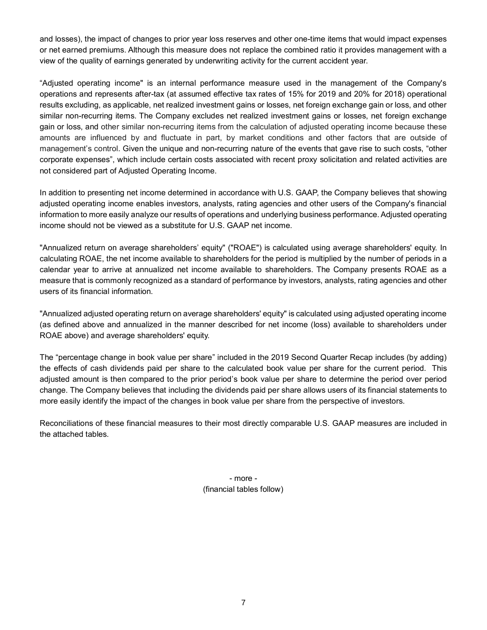and losses), the impact of changes to prior year loss reserves and other one-time items that would impact expenses or net earned premiums. Although this measure does not replace the combined ratio it provides management with a view of the quality of earnings generated by underwriting activity for the current accident year.

"Adjusted operating income" is an internal performance measure used in the management of the Company's operations and represents after-tax (at assumed effective tax rates of 15% for 2019 and 20% for 2018) operational results excluding, as applicable, net realized investment gains or losses, net foreign exchange gain or loss, and other similar non-recurring items. The Company excludes net realized investment gains or losses, net foreign exchange gain or loss, and other similar non-recurring items from the calculation of adjusted operating income because these amounts are influenced by and fluctuate in part, by market conditions and other factors that are outside of management's control. Given the unique and non-recurring nature of the events that gave rise to such costs, "other corporate expenses", which include certain costs associated with recent proxy solicitation and related activities are not considered part of Adjusted Operating Income.

In addition to presenting net income determined in accordance with U.S. GAAP, the Company believes that showing adjusted operating income enables investors, analysts, rating agencies and other users of the Company's financial information to more easily analyze our results of operations and underlying business performance. Adjusted operating income should not be viewed as a substitute for U.S. GAAP net income.

"Annualized return on average shareholders' equity" ("ROAE") is calculated using average shareholders' equity. In calculating ROAE, the net income available to shareholders for the period is multiplied by the number of periods in a calendar year to arrive at annualized net income available to shareholders. The Company presents ROAE as a measure that is commonly recognized as a standard of performance by investors, analysts, rating agencies and other users of its financial information.

"Annualized adjusted operating return on average shareholders' equity" is calculated using adjusted operating income (as defined above and annualized in the manner described for net income (loss) available to shareholders under ROAE above) and average shareholders' equity.

The "percentage change in book value per share" included in the 2019 Second Quarter Recap includes (by adding) the effects of cash dividends paid per share to the calculated book value per share for the current period. This adjusted amount is then compared to the prior period's book value per share to determine the period over period change. The Company believes that including the dividends paid per share allows users of its financial statements to more easily identify the impact of the changes in book value per share from the perspective of investors.

Reconciliations of these financial measures to their most directly comparable U.S. GAAP measures are included in the attached tables.

> - more - (financial tables follow)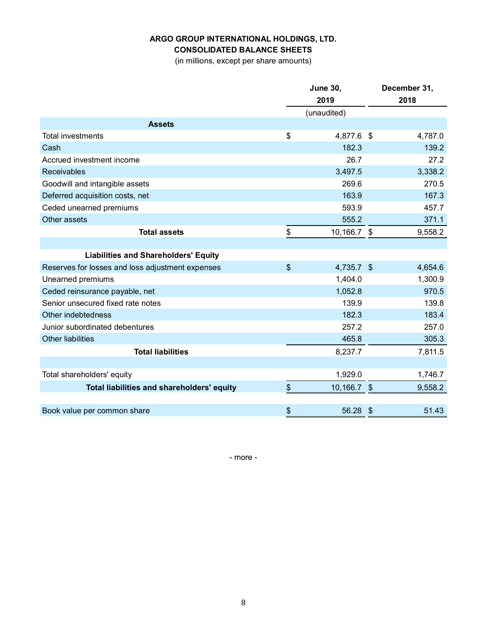# **ARGO GROUP INTERNATIONAL HOLDINGS, LTD. CONSOLIDATED BALANCE SHEETS**

(in millions, except per share amounts)

|                                                  |               | <b>June 30,</b> | December 31, |
|--------------------------------------------------|---------------|-----------------|--------------|
|                                                  |               | 2019            | 2018         |
|                                                  |               | (unaudited)     |              |
| <b>Assets</b>                                    |               |                 |              |
| <b>Total investments</b>                         | \$            | 4,877.6 \$      | 4,787.0      |
| Cash                                             |               | 182.3           | 139.2        |
| Accrued investment income                        |               | 26.7            | 27.2         |
| Receivables                                      |               | 3,497.5         | 3,338.2      |
| Goodwill and intangible assets                   |               | 269.6           | 270.5        |
| Deferred acquisition costs, net                  |               | 163.9           | 167.3        |
| Ceded unearned premiums                          |               | 593.9           | 457.7        |
| Other assets                                     |               | 555.2           | 371.1        |
| <b>Total assets</b>                              | \$            | 10,166.7 \$     | 9,558.2      |
|                                                  |               |                 |              |
| <b>Liabilities and Shareholders' Equity</b>      |               |                 |              |
| Reserves for losses and loss adjustment expenses | $\frac{1}{2}$ | 4,735.7 \$      | 4,654.6      |
| Unearned premiums                                |               | 1,404.0         | 1,300.9      |
| Ceded reinsurance payable, net                   |               | 1,052.8         | 970.5        |
| Senior unsecured fixed rate notes                |               | 139.9           | 139.8        |
| Other indebtedness                               |               | 182.3           | 183.4        |
| Junior subordinated debentures                   |               | 257.2           | 257.0        |
| <b>Other liabilities</b>                         |               | 465.8           | 305.3        |
| <b>Total liabilities</b>                         |               | 8,237.7         | 7,811.5      |
|                                                  |               |                 |              |
| Total shareholders' equity                       |               | 1,929.0         | 1,746.7      |
| Total liabilities and shareholders' equity       | $\frac{1}{2}$ | 10,166.7 \$     | 9,558.2      |
|                                                  |               |                 |              |
| Book value per common share                      | \$            | 56.28           | 51.43<br>\$  |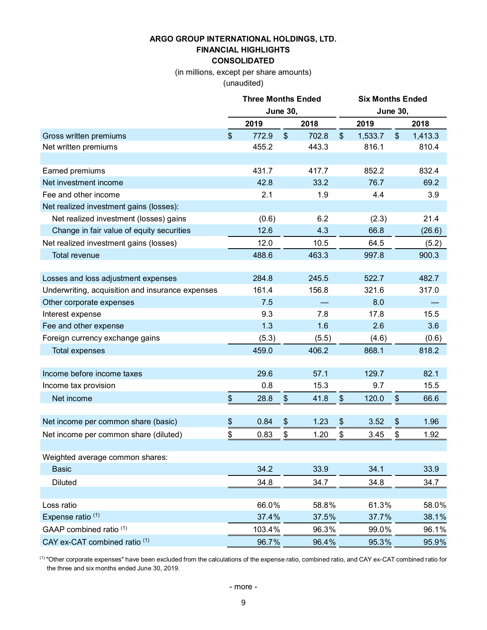# **ARGO GROUP INTERNATIONAL HOLDINGS, LTD. FINANCIAL HIGHLIGHTS**

**CONSOLIDATED**

(in millions, except per share amounts)

(unaudited)

|                                                  |                | <b>Three Months Ended</b> |                         |       |               | <b>Six Months Ended</b> |               |         |
|--------------------------------------------------|----------------|---------------------------|-------------------------|-------|---------------|-------------------------|---------------|---------|
|                                                  |                | <b>June 30,</b>           |                         |       |               | <b>June 30,</b>         |               |         |
|                                                  |                | 2019                      |                         | 2018  |               | 2019                    |               | 2018    |
| Gross written premiums                           | $\mathfrak{S}$ | 772.9                     | $\sqrt[6]{\frac{1}{2}}$ | 702.8 | $\sqrt[6]{3}$ | 1,533.7                 | $\frac{1}{2}$ | 1,413.3 |
| Net written premiums                             |                | 455.2                     |                         | 443.3 |               | 816.1                   |               | 810.4   |
|                                                  |                |                           |                         |       |               |                         |               |         |
| Earned premiums                                  |                | 431.7                     |                         | 417.7 |               | 852.2                   |               | 832.4   |
| Net investment income                            |                | 42.8                      |                         | 33.2  |               | 76.7                    |               | 69.2    |
| Fee and other income                             |                | 2.1                       |                         | 1.9   |               | 4.4                     |               | 3.9     |
| Net realized investment gains (losses):          |                |                           |                         |       |               |                         |               |         |
| Net realized investment (losses) gains           |                | (0.6)                     |                         | 6.2   |               | (2.3)                   |               | 21.4    |
| Change in fair value of equity securities        |                | 12.6                      |                         | 4.3   |               | 66.8                    |               | (26.6)  |
| Net realized investment gains (losses)           |                | 12.0                      |                         | 10.5  |               | 64.5                    |               | (5.2)   |
| Total revenue                                    |                | 488.6                     |                         | 463.3 |               | 997.8                   |               | 900.3   |
|                                                  |                |                           |                         |       |               |                         |               |         |
| Losses and loss adjustment expenses              |                | 284.8                     |                         | 245.5 |               | 522.7                   |               | 482.7   |
| Underwriting, acquisition and insurance expenses |                | 161.4                     |                         | 156.8 |               | 321.6                   |               | 317.0   |
| Other corporate expenses                         |                | 7.5                       |                         |       |               | 8.0                     |               |         |
| Interest expense                                 |                | 9.3                       |                         | 7.8   |               | 17.8                    |               | 15.5    |
| Fee and other expense                            |                | 1.3                       |                         | 1.6   |               | 2.6                     |               | 3.6     |
| Foreign currency exchange gains                  |                | (5.3)                     |                         | (5.5) |               | (4.6)                   |               | (0.6)   |
| <b>Total expenses</b>                            |                | 459.0                     |                         | 406.2 |               | 868.1                   |               | 818.2   |
|                                                  |                |                           |                         |       |               |                         |               |         |
| Income before income taxes                       |                | 29.6                      |                         | 57.1  |               | 129.7                   |               | 82.1    |
| Income tax provision                             |                | 0.8                       |                         | 15.3  |               | 9.7                     |               | 15.5    |
| Net income                                       | $\$\$          | 28.8                      | $\frac{1}{2}$           | 41.8  | $\frac{2}{3}$ | 120.0                   | $\frac{1}{2}$ | 66.6    |
|                                                  |                |                           |                         |       |               |                         |               |         |
| Net income per common share (basic)              | $\,$           | 0.84                      | \$                      | 1.23  | \$            | 3.52                    | \$            | 1.96    |
| Net income per common share (diluted)            | \$             | 0.83                      | $\frac{1}{2}$           | 1.20  | \$            | 3.45                    | \$            | 1.92    |
|                                                  |                |                           |                         |       |               |                         |               |         |
| Weighted average common shares:                  |                |                           |                         |       |               |                         |               |         |
| <b>Basic</b>                                     |                | 34.2                      |                         | 33.9  |               | 34.1                    |               | 33.9    |
| <b>Diluted</b>                                   |                | 34.8                      |                         | 34.7  |               | 34.8                    |               | 34.7    |
|                                                  |                |                           |                         |       |               |                         |               |         |
| Loss ratio                                       |                | 66.0%                     |                         | 58.8% |               | 61.3%                   |               | 58.0%   |
| Expense ratio <sup>(1)</sup>                     |                | 37.4%                     |                         | 37.5% |               | 37.7%                   |               | 38.1%   |
| GAAP combined ratio (1)                          |                | 103.4%                    |                         | 96.3% |               | 99.0%                   |               | 96.1%   |
| CAY ex-CAT combined ratio (1)                    |                | 96.7%                     |                         | 96.4% |               | 95.3%                   |               | 95.9%   |

(1) "Other corporate expenses" have been excluded from the calculations of the expense ratio, combined ratio, and CAY ex-CAT combined ratio for the three and six months ended June 30, 2019.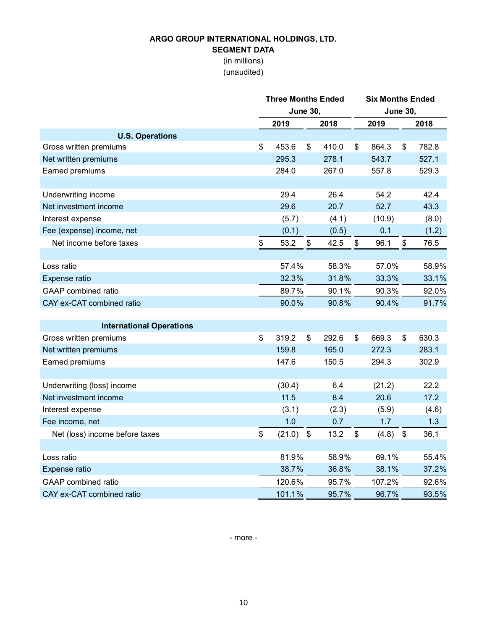# **ARGO GROUP INTERNATIONAL HOLDINGS, LTD.**

**SEGMENT DATA**

(in millions) (unaudited)

|                                 | <b>Three Months Ended</b> |                 |              |       |                 | <b>Six Months Ended</b> |                           |       |  |  |
|---------------------------------|---------------------------|-----------------|--------------|-------|-----------------|-------------------------|---------------------------|-------|--|--|
|                                 |                           | <b>June 30,</b> |              |       | <b>June 30,</b> |                         |                           |       |  |  |
|                                 |                           | 2019            |              | 2018  |                 | 2019                    |                           | 2018  |  |  |
| <b>U.S. Operations</b>          |                           |                 |              |       |                 |                         |                           |       |  |  |
| Gross written premiums          | \$                        | 453.6           | \$           | 410.0 | \$              | 864.3                   | \$                        | 782.8 |  |  |
| Net written premiums            |                           | 295.3           |              | 278.1 |                 | 543.7                   |                           | 527.1 |  |  |
| Earned premiums                 |                           | 284.0           |              | 267.0 |                 | 557.8                   |                           | 529.3 |  |  |
|                                 |                           |                 |              |       |                 |                         |                           |       |  |  |
| Underwriting income             |                           | 29.4            |              | 26.4  |                 | 54.2                    |                           | 42.4  |  |  |
| Net investment income           |                           | 29.6            |              | 20.7  |                 | 52.7                    |                           | 43.3  |  |  |
| Interest expense                |                           | (5.7)           |              | (4.1) |                 | (10.9)                  |                           | (8.0) |  |  |
| Fee (expense) income, net       |                           | (0.1)           |              | (0.5) |                 | 0.1                     |                           | (1.2) |  |  |
| Net income before taxes         | \$                        | 53.2            | $\mathbb{S}$ | 42.5  | \$              | 96.1                    | \$                        | 76.5  |  |  |
|                                 |                           |                 |              |       |                 |                         |                           |       |  |  |
| Loss ratio                      |                           | 57.4%           |              | 58.3% |                 | 57.0%                   |                           | 58.9% |  |  |
| Expense ratio                   |                           | 32.3%           |              | 31.8% |                 | 33.3%                   |                           | 33.1% |  |  |
| GAAP combined ratio             |                           | 89.7%           |              | 90.1% |                 | 90.3%                   |                           | 92.0% |  |  |
| CAY ex-CAT combined ratio       |                           | 90.0%           |              | 90.8% |                 | 90.4%                   |                           | 91.7% |  |  |
|                                 |                           |                 |              |       |                 |                         |                           |       |  |  |
| <b>International Operations</b> |                           |                 |              |       |                 |                         |                           |       |  |  |
| Gross written premiums          | \$                        | 319.2           | \$           | 292.6 | \$              | 669.3                   | \$                        | 630.3 |  |  |
| Net written premiums            |                           | 159.8           |              | 165.0 |                 | 272.3                   |                           | 283.1 |  |  |
| Earned premiums                 |                           | 147.6           |              | 150.5 |                 | 294.3                   |                           | 302.9 |  |  |
|                                 |                           |                 |              |       |                 |                         |                           |       |  |  |
| Underwriting (loss) income      |                           | (30.4)          |              | 6.4   |                 | (21.2)                  |                           | 22.2  |  |  |
| Net investment income           |                           | 11.5            |              | 8.4   |                 | 20.6                    |                           | 17.2  |  |  |
| Interest expense                |                           | (3.1)           |              | (2.3) |                 | (5.9)                   |                           | (4.6) |  |  |
| Fee income, net                 |                           | 1.0             |              | 0.7   |                 | 1.7                     |                           | 1.3   |  |  |
| Net (loss) income before taxes  | $\frac{1}{2}$             | (21.0)          | \$           | 13.2  | \$              | (4.8)                   | $\boldsymbol{\mathsf{S}}$ | 36.1  |  |  |
|                                 |                           |                 |              |       |                 |                         |                           |       |  |  |
| Loss ratio                      |                           | 81.9%           |              | 58.9% |                 | 69.1%                   |                           | 55.4% |  |  |
| Expense ratio                   |                           | 38.7%           |              | 36.8% |                 | 38.1%                   |                           | 37.2% |  |  |
| GAAP combined ratio             |                           | 120.6%          |              | 95.7% |                 | 107.2%                  |                           | 92.6% |  |  |
| CAY ex-CAT combined ratio       |                           | 101.1%          |              | 95.7% |                 | 96.7%                   |                           | 93.5% |  |  |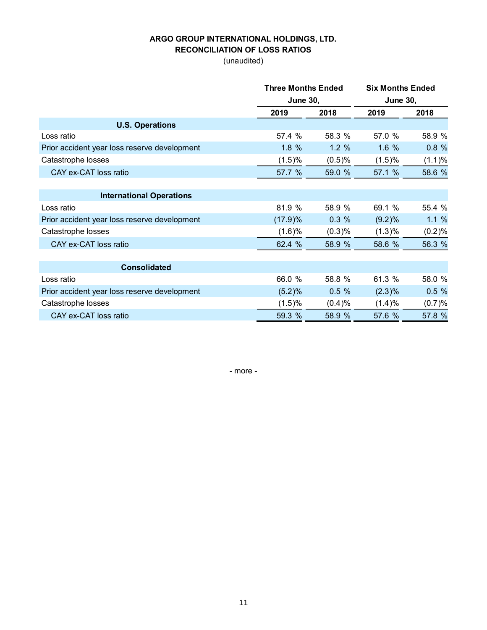## **ARGO GROUP INTERNATIONAL HOLDINGS, LTD. RECONCILIATION OF LOSS RATIOS**

(unaudited)

|                                              | <b>Three Months Ended</b> |        | <b>Six Months Ended</b> |        |
|----------------------------------------------|---------------------------|--------|-------------------------|--------|
|                                              | <b>June 30,</b>           |        | <b>June 30,</b>         |        |
|                                              | 2019                      | 2018   | 2019                    | 2018   |
| <b>U.S. Operations</b>                       |                           |        |                         |        |
| Loss ratio                                   | 57.4 %                    | 58.3 % | 57.0 %                  | 58.9 % |
| Prior accident year loss reserve development | 1.8%                      | 1.2%   | 1.6%                    | 0.8%   |
| Catastrophe losses                           | (1.5)%                    | (0.5)% | (1.5)%                  | (1.1)% |
| CAY ex-CAT loss ratio                        | 57.7 %                    | 59.0 % | 57.1 %                  | 58.6 % |
| <b>International Operations</b>              |                           |        |                         |        |
| Loss ratio                                   | 81.9 %                    | 58.9 % | 69.1 %                  | 55.4 % |
| Prior accident year loss reserve development | (17.9)%                   | 0.3%   | (9.2)%                  | 1.1%   |
| Catastrophe losses                           | (1.6)%                    | (0.3)% | (1.3)%                  | (0.2)% |
| CAY ex-CAT loss ratio                        | 62.4 %                    | 58.9 % | 58.6 %                  | 56.3 % |
|                                              |                           |        |                         |        |
| <b>Consolidated</b>                          |                           |        |                         |        |
| Loss ratio                                   | 66.0 %                    | 58.8 % | 61.3 %                  | 58.0 % |
| Prior accident year loss reserve development | (5.2)%                    | 0.5%   | (2.3)%                  | 0.5%   |
| Catastrophe losses                           | (1.5)%                    | (0.4)% | (1.4)%                  | (0.7)% |
| CAY ex-CAT loss ratio                        | 59.3 %                    | 58.9 % | 57.6 %                  | 57.8 % |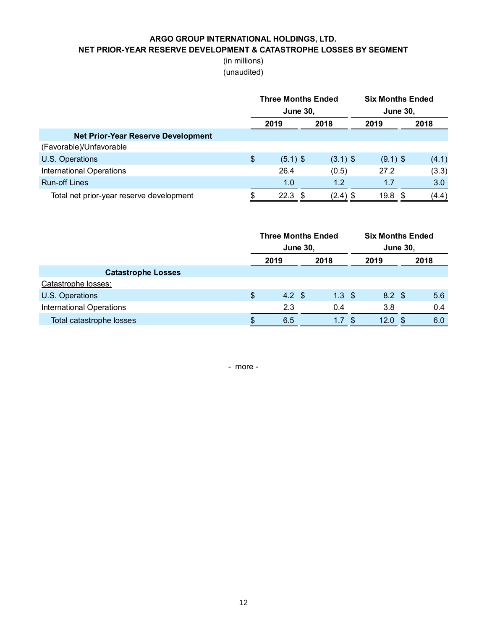### **ARGO GROUP INTERNATIONAL HOLDINGS, LTD. NET PRIOR-YEAR RESERVE DEVELOPMENT & CATASTROPHE LOSSES BY SEGMENT**

## (in millions) (unaudited)

|                                           | <b>Three Months Ended</b><br><b>June 30,</b> |              | <b>Six Months Ended</b><br><b>June 30,</b> |       |  |  |
|-------------------------------------------|----------------------------------------------|--------------|--------------------------------------------|-------|--|--|
|                                           | 2019                                         | 2018         | 2019                                       | 2018  |  |  |
| <b>Net Prior-Year Reserve Development</b> |                                              |              |                                            |       |  |  |
| (Favorable)/Unfavorable                   |                                              |              |                                            |       |  |  |
| U.S. Operations                           | \$<br>$(5.1)$ \$                             | $(3.1)$ \$   | $(9.1)$ \$                                 | (4.1) |  |  |
| <b>International Operations</b>           | 26.4                                         | (0.5)        | 27.2                                       | (3.3) |  |  |
| <b>Run-off Lines</b>                      | 1.0                                          | 1.2          | 1.7                                        | 3.0   |  |  |
| Total net prior-year reserve development  | 22.3 <sup>5</sup>                            | (2.4)<br>-\$ | 19.8<br>- \$                               | (4.4) |  |  |

|                                 |    | <b>Three Months Ended</b><br>June 30, |  |                  | <b>Six Months Ended</b><br><b>June 30,</b> |                  |      |      |
|---------------------------------|----|---------------------------------------|--|------------------|--------------------------------------------|------------------|------|------|
|                                 |    | 2019                                  |  | 2018             |                                            | 2019             |      | 2018 |
| <b>Catastrophe Losses</b>       |    |                                       |  |                  |                                            |                  |      |      |
| Catastrophe losses:             |    |                                       |  |                  |                                            |                  |      |      |
| U.S. Operations                 | \$ | $4.2 \text{ } $$                      |  | 1.3 <sup>5</sup> |                                            | $8.2 \text{ } $$ |      | 5.6  |
| <b>International Operations</b> |    | 2.3                                   |  | 0.4              |                                            | 3.8              |      | 0.4  |
| Total catastrophe losses        |    | 6.5                                   |  | 1.7              | - \$                                       | 12.0             | - \$ | 6.0  |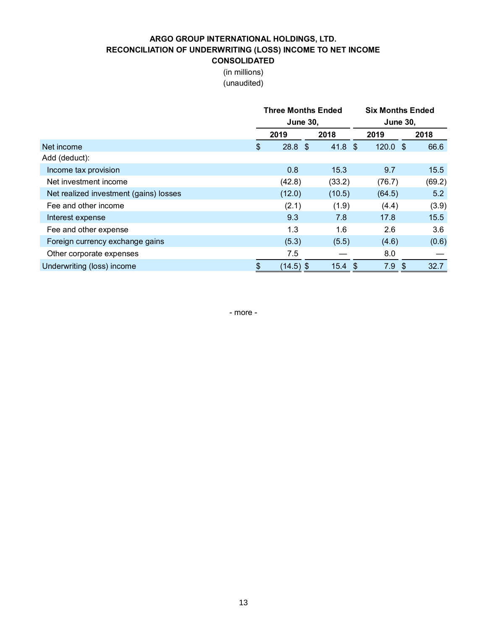# **ARGO GROUP INTERNATIONAL HOLDINGS, LTD. RECONCILIATION OF UNDERWRITING (LOSS) INCOME TO NET INCOME**

**CONSOLIDATED** (in millions)

(unaudited)

|                                        | <b>Three Months Ended</b><br><b>June 30,</b> |  |          | <b>Six Months Ended</b><br><b>June 30,</b> |            |    |        |
|----------------------------------------|----------------------------------------------|--|----------|--------------------------------------------|------------|----|--------|
|                                        | 2019                                         |  | 2018     |                                            | 2019       |    | 2018   |
| Net income                             | \$<br>28.8 <sup>°</sup>                      |  | 41.8 $$$ |                                            | $120.0$ \$ |    | 66.6   |
| Add (deduct):                          |                                              |  |          |                                            |            |    |        |
| Income tax provision                   | 0.8                                          |  | 15.3     |                                            | 9.7        |    | 15.5   |
| Net investment income                  | (42.8)                                       |  | (33.2)   |                                            | (76.7)     |    | (69.2) |
| Net realized investment (gains) losses | (12.0)                                       |  | (10.5)   |                                            | (64.5)     |    | 5.2    |
| Fee and other income                   | (2.1)                                        |  | (1.9)    |                                            | (4.4)      |    | (3.9)  |
| Interest expense                       | 9.3                                          |  | 7.8      |                                            | 17.8       |    | 15.5   |
| Fee and other expense                  | 1.3                                          |  | 1.6      |                                            | 2.6        |    | 3.6    |
| Foreign currency exchange gains        | (5.3)                                        |  | (5.5)    |                                            | (4.6)      |    | (0.6)  |
| Other corporate expenses               | 7.5                                          |  |          |                                            | 8.0        |    |        |
| Underwriting (loss) income             | \$<br>$(14.5)$ \$                            |  | 15.4     | \$                                         | 7.9        | \$ | 32.7   |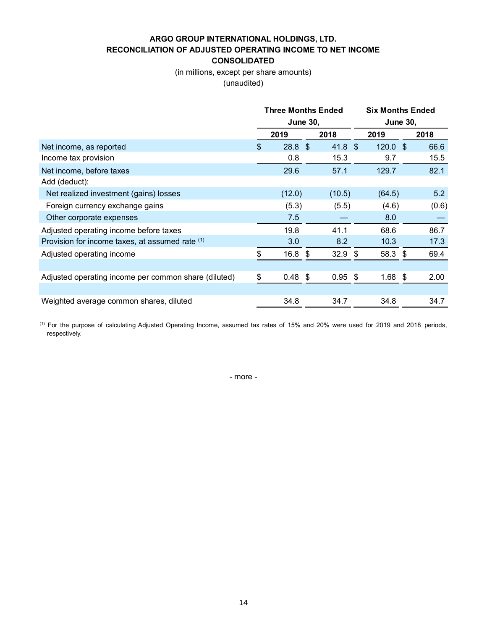# **ARGO GROUP INTERNATIONAL HOLDINGS, LTD. RECONCILIATION OF ADJUSTED OPERATING INCOME TO NET INCOME**

**CONSOLIDATED**

(in millions, except per share amounts)

(unaudited)

|                                                      |       | <b>Three Months Ended</b> |                |           | <b>Six Months Ended</b> |  |       |  |  |
|------------------------------------------------------|-------|---------------------------|----------------|-----------|-------------------------|--|-------|--|--|
|                                                      |       | <b>June 30,</b>           |                |           | <b>June 30,</b>         |  |       |  |  |
|                                                      |       | 2019                      |                | 2018      | 2019                    |  | 2018  |  |  |
| Net income, as reported                              | $\$\$ | 28.8                      | $\mathfrak{L}$ | 41.8 $$$  | $120.0$ \$              |  | 66.6  |  |  |
| Income tax provision                                 |       | 0.8                       |                | 15.3      | 9.7                     |  | 15.5  |  |  |
| Net income, before taxes                             |       | 29.6                      |                | 57.1      | 129.7                   |  | 82.1  |  |  |
| Add (deduct):                                        |       |                           |                |           |                         |  |       |  |  |
| Net realized investment (gains) losses               |       | (12.0)                    |                | (10.5)    | (64.5)                  |  | 5.2   |  |  |
| Foreign currency exchange gains                      |       | (5.3)                     |                | (5.5)     | (4.6)                   |  | (0.6) |  |  |
| Other corporate expenses                             |       | 7.5                       |                |           | 8.0                     |  |       |  |  |
| Adjusted operating income before taxes               |       | 19.8                      |                | 41.1      | 68.6                    |  | 86.7  |  |  |
| Provision for income taxes, at assumed rate (1)      |       | 3.0                       |                | 8.2       | 10.3                    |  | 17.3  |  |  |
| Adjusted operating income                            | \$    | $16.8$ \$                 |                | 32.9      | \$<br>58.3 \$           |  | 69.4  |  |  |
|                                                      |       |                           |                |           |                         |  |       |  |  |
| Adjusted operating income per common share (diluted) | \$    | $0.48$ \$                 |                | $0.95$ \$ | $1.68$ \$               |  | 2.00  |  |  |
|                                                      |       |                           |                |           |                         |  |       |  |  |
| Weighted average common shares, diluted              |       | 34.8                      |                | 34.7      | 34.8                    |  | 34.7  |  |  |

<sup>(1)</sup> For the purpose of calculating Adjusted Operating Income, assumed tax rates of 15% and 20% were used for 2019 and 2018 periods, respectively.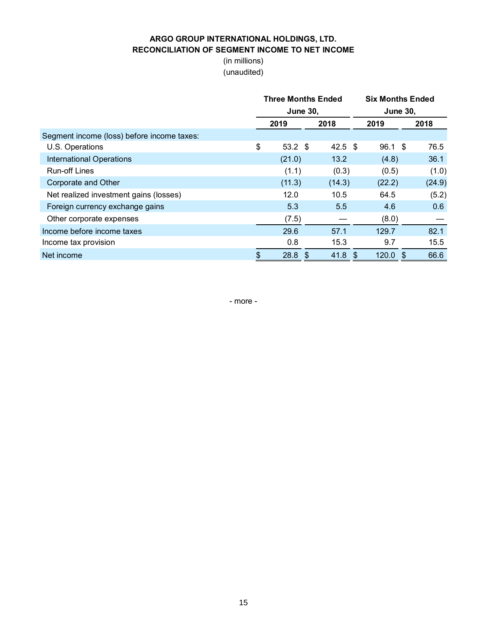### **ARGO GROUP INTERNATIONAL HOLDINGS, LTD. RECONCILIATION OF SEGMENT INCOME TO NET INCOME**

(in millions) (unaudited)

|                                            | <b>Three Months Ended</b><br><b>June 30,</b> |     |         | <b>Six Months Ended</b><br><b>June 30,</b> |                   |     |        |
|--------------------------------------------|----------------------------------------------|-----|---------|--------------------------------------------|-------------------|-----|--------|
|                                            | 2019                                         |     | 2018    |                                            | 2019              |     | 2018   |
| Segment income (loss) before income taxes: |                                              |     |         |                                            |                   |     |        |
| U.S. Operations                            | \$<br>$53.2$ \$                              |     | 42.5 \$ |                                            | $96.1 \text{ } $$ |     | 76.5   |
| <b>International Operations</b>            | (21.0)                                       |     | 13.2    |                                            | (4.8)             |     | 36.1   |
| <b>Run-off Lines</b>                       | (1.1)                                        |     | (0.3)   |                                            | (0.5)             |     | (1.0)  |
| Corporate and Other                        | (11.3)                                       |     | (14.3)  |                                            | (22.2)            |     | (24.9) |
| Net realized investment gains (losses)     | 12.0                                         |     | 10.5    |                                            | 64.5              |     | (5.2)  |
| Foreign currency exchange gains            | 5.3                                          |     | 5.5     |                                            | 4.6               |     | 0.6    |
| Other corporate expenses                   | (7.5)                                        |     |         |                                            | (8.0)             |     |        |
| Income before income taxes                 | 29.6                                         |     | 57.1    |                                            | 129.7             |     | 82.1   |
| Income tax provision                       | 0.8                                          |     | 15.3    |                                            | 9.7               |     | 15.5   |
| Net income                                 | \$<br>28.8                                   | -\$ | 41.8    | \$                                         | 120.0             | -\$ | 66.6   |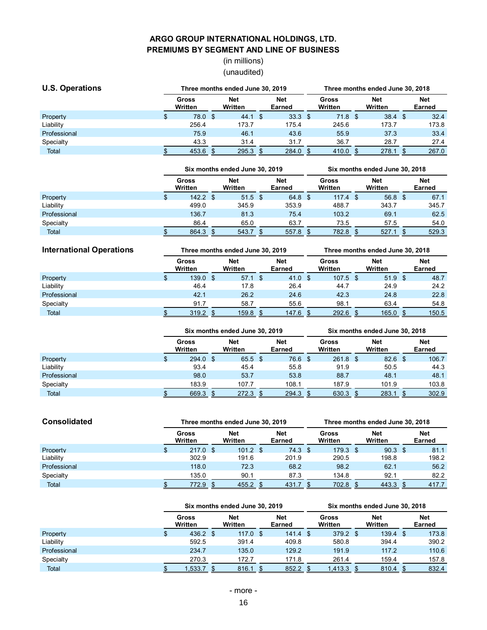## **ARGO GROUP INTERNATIONAL HOLDINGS, LTD. PREMIUMS BY SEGMENT AND LINE OF BUSINESS**

## (in millions) (unaudited)

| <b>U.S. Operations</b> | Three months ended June 30, 2019 |  |                       |  |                      |      | Three months ended June 30, 2018 |  |                       |  |                      |  |
|------------------------|----------------------------------|--|-----------------------|--|----------------------|------|----------------------------------|--|-----------------------|--|----------------------|--|
|                        | Gross<br>Written                 |  | <b>Net</b><br>Written |  | <b>Net</b><br>Earned |      | Gross<br>Written                 |  | <b>Net</b><br>Written |  | <b>Net</b><br>Earned |  |
| Property               | 78.0 \$                          |  | 44.1 S                |  | 33.3                 | ∣ \$ | 71.8 S                           |  | 38.4 <sup>5</sup>     |  | 32.4                 |  |
| Liability              | 256.4                            |  | 173.7                 |  | 175.4                |      | 245.6                            |  | 173.7                 |  | 173.8                |  |
| Professional           | 75.9                             |  | 46.1                  |  | 43.6                 |      | 55.9                             |  | 37.3                  |  | 33.4                 |  |
| Specialty              | 43.3                             |  | 31.4                  |  | 31.7                 |      | 36.7                             |  | 28.7                  |  | 27.4                 |  |
| Total                  | 453.6                            |  | 295.3                 |  | 284.0                |      | 410.0                            |  | 278.1                 |  | 267.0                |  |

|              |                  | Six months ended June 30, 2019 |                       | Six months ended June 30, 2018 |                      |  |                  |  |                       |  |                             |
|--------------|------------------|--------------------------------|-----------------------|--------------------------------|----------------------|--|------------------|--|-----------------------|--|-----------------------------|
|              | Gross<br>Written |                                | <b>Net</b><br>Written |                                | <b>Net</b><br>Earned |  | Gross<br>Written |  | <b>Net</b><br>Written |  | <b>Net</b><br><b>Earned</b> |
| Property     | 142.2 S          |                                | $51.5$ \$             |                                | 64.8 \$              |  | $117.4$ \$       |  | 56.8 <sup>5</sup>     |  | 67.1                        |
| Liability    | 499.0            |                                | 345.9                 |                                | 353.9                |  | 488.7            |  | 343.7                 |  | 345.7                       |
| Professional | 136.7            |                                | 81.3                  |                                | 75.4                 |  | 103.2            |  | 69.1                  |  | 62.5                        |
| Specialty    | 86.4             |                                | 65.0                  |                                | 63.7                 |  | 73.5             |  | 57.5                  |  | 54.0                        |
| Total        | 864.3            |                                | 543.7                 |                                | 557.8                |  | 782.8            |  | 527.1                 |  | 529.3                       |

| <b>International Operations</b> |                  | Three months ended June 30, 2019 |               | Three months ended June 30, 2018 |                  |  |                       |  |                      |
|---------------------------------|------------------|----------------------------------|---------------|----------------------------------|------------------|--|-----------------------|--|----------------------|
|                                 | Gross<br>Written | <b>Net</b><br>Written            | Net<br>Earned |                                  | Gross<br>Written |  | <b>Net</b><br>Written |  | <b>Net</b><br>Earned |
| Property                        | 139.0 S          | 57.1 S                           | 41.0 S        |                                  | $107.5$ \$       |  | 51.9 S                |  | 48.7                 |
| Liability                       | 46.4             | 17.8                             | 26.4          |                                  | 44.7             |  | 24.9                  |  | 24.2                 |
| Professional                    | 42.1             | 26.2                             | 24.6          |                                  | 42.3             |  | 24.8                  |  | 22.8                 |
| Specialty                       | 91.7             | 58.7                             | 55.6          |                                  | 98.1             |  | 63.4                  |  | 54.8                 |
| Total                           | 319.2            | 159.8                            | 147.6         |                                  | 292.6            |  | 165.0                 |  | 150.5                |

|              |                  | Six months ended June 30, 2019 |                | Six months ended June 30, 2018 |                      |  |                  |  |                       |  |                             |
|--------------|------------------|--------------------------------|----------------|--------------------------------|----------------------|--|------------------|--|-----------------------|--|-----------------------------|
|              | Gross<br>Written |                                | Net<br>Written |                                | <b>Net</b><br>Earned |  | Gross<br>Written |  | <b>Net</b><br>Written |  | <b>Net</b><br><b>Earned</b> |
| Property     | $294.0$ \$       |                                | 65.5 \$        |                                | 76.6 \$              |  | $261.8$ \$       |  | $82.6$ \$             |  | 106.7                       |
| Liability    | 93.4             |                                | 45.4           |                                | 55.8                 |  | 91.9             |  | 50.5                  |  | 44.3                        |
| Professional | 98.0             |                                | 53.7           |                                | 53.8                 |  | 88.7             |  | 48.1                  |  | 48.1                        |
| Specialty    | 183.9            |                                | 107.7          |                                | 108.1                |  | 187.9            |  | 101.9                 |  | 103.8                       |
| <b>Total</b> | 669.3            |                                | 272.3          |                                | 294.3                |  | 630.3            |  | 283.1                 |  | 302.9                       |

| <b>Consolidated</b> |     |                  | Three months ended June 30, 2019 |                      | Three months ended June 30, 2018 |                  |  |                       |  |                             |
|---------------------|-----|------------------|----------------------------------|----------------------|----------------------------------|------------------|--|-----------------------|--|-----------------------------|
|                     |     | Gross<br>Written | <b>Net</b><br>Written            | <b>Net</b><br>Earned |                                  | Gross<br>Written |  | <b>Net</b><br>Written |  | <b>Net</b><br><b>Earned</b> |
| Property            | \$. | $217.0$ \$       | $101.2$ \$                       | 74.3 <sup>5</sup>    |                                  | $179.3$ \$       |  | 90.3 <sup>5</sup>     |  | 81.1                        |
| Liability           |     | 302.9            | 191.6                            | 201.9                |                                  | 290.5            |  | 198.8                 |  | 198.2                       |
| Professional        |     | 118.0            | 72.3                             | 68.2                 |                                  | 98.2             |  | 62.1                  |  | 56.2                        |
| Specialty           |     | 135.0            | 90.1                             | 87.3                 |                                  | 134.8            |  | 92.1                  |  | 82.2                        |
| <b>Total</b>        |     | 772.9            | 455.2                            | 431.7                |                                  | 702.8            |  | 443.3                 |  | 417.7                       |

|              |                  | Six months ended June 30, 2019 |                       | Six months ended June 30, 2018 |                      |     |                  |  |                       |  |                      |
|--------------|------------------|--------------------------------|-----------------------|--------------------------------|----------------------|-----|------------------|--|-----------------------|--|----------------------|
|              | Gross<br>Written |                                | <b>Net</b><br>Written |                                | <b>Net</b><br>Earned |     | Gross<br>Written |  | <b>Net</b><br>Written |  | <b>Net</b><br>Earned |
| Property     | 436.2 \$         |                                | $117.0$ \$            |                                | 141.4                | -\$ | 379.2 S          |  | $139.4$ \$            |  | 173.8                |
| Liability    | 592.5            |                                | 391.4                 |                                | 409.8                |     | 580.8            |  | 394.4                 |  | 390.2                |
| Professional | 234.7            |                                | 135.0                 |                                | 129.2                |     | 191.9            |  | 117.2                 |  | 110.6                |
| Specialty    | 270.3            |                                | 172.7                 |                                | 171.8                |     | 261.4            |  | 159.4                 |  | 157.8                |
| <b>Total</b> | 1.533.7          |                                | 816.1                 |                                | 852.2                |     | 1,413.3          |  | 810.4                 |  | 832.4                |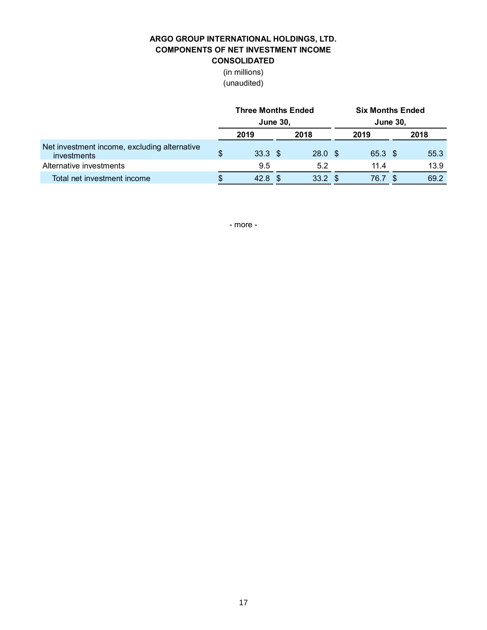## **ARGO GROUP INTERNATIONAL HOLDINGS, LTD. COMPONENTS OF NET INVESTMENT INCOME CONSOLIDATED**

(in millions)

(unaudited)

|                                                             |   | <b>Three Months Ended</b> |                   |      | <b>Six Months Ended</b> |  |      |  |  |
|-------------------------------------------------------------|---|---------------------------|-------------------|------|-------------------------|--|------|--|--|
|                                                             |   | <b>June 30.</b>           |                   |      | June 30,                |  |      |  |  |
|                                                             |   | 2019                      | 2018              |      | 2019                    |  | 2018 |  |  |
| Net investment income, excluding alternative<br>investments | S | 33.3 <sup>5</sup>         | 28.0 <sup>5</sup> |      | 65.3 \$                 |  | 55.3 |  |  |
| Alternative investments                                     |   | 9.5                       | 5.2               |      | 11.4                    |  | 13.9 |  |  |
| Total net investment income                                 |   | 42.8 <sup>°</sup>         | 33.2              | - \$ | 76.7                    |  | 69.2 |  |  |